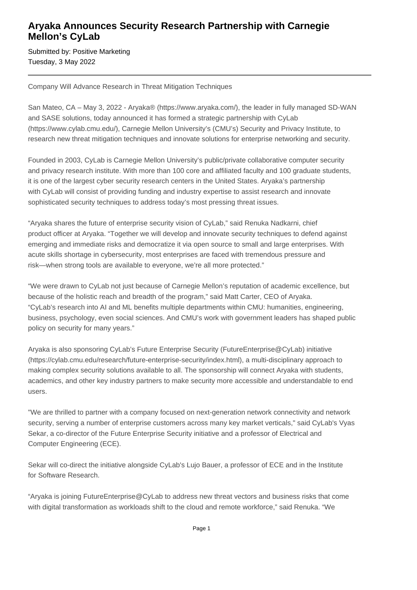## **Aryaka Announces Security Research Partnership with Carnegie Mellon's CyLab**

Submitted by: Positive Marketing Tuesday, 3 May 2022

Company Will Advance Research in Threat Mitigation Techniques

San Mateo, CA – May 3, 2022 - Aryaka® (https://www.aryaka.com/), the leader in fully managed SD-WAN and SASE solutions, today announced it has formed a strategic partnership with CyLab (https://www.cylab.cmu.edu/), Carnegie Mellon University's (CMU's) Security and Privacy Institute, to research new threat mitigation techniques and innovate solutions for enterprise networking and security.

Founded in 2003, CyLab is Carnegie Mellon University's public/private collaborative computer security and privacy research institute. With more than 100 core and affiliated faculty and 100 graduate students, it is one of the largest cyber security research centers in the United States. Aryaka's partnership with CyLab will consist of providing funding and industry expertise to assist research and innovate sophisticated security techniques to address today's most pressing threat issues.

"Aryaka shares the future of enterprise security vision of CyLab," said Renuka Nadkarni, chief product officer at Aryaka. "Together we will develop and innovate security techniques to defend against emerging and immediate risks and democratize it via open source to small and large enterprises. With acute skills shortage in cybersecurity, most enterprises are faced with tremendous pressure and risk—when strong tools are available to everyone, we're all more protected."

"We were drawn to CyLab not just because of Carnegie Mellon's reputation of academic excellence, but because of the holistic reach and breadth of the program," said Matt Carter, CEO of Aryaka. "CyLab's research into AI and ML benefits multiple departments within CMU: humanities, engineering, business, psychology, even social sciences. And CMU's work with government leaders has shaped public policy on security for many years."

Aryaka is also sponsoring CyLab's Future Enterprise Security (FutureEnterprise@CyLab) initiative (https://cylab.cmu.edu/research/future-enterprise-security/index.html), a multi-disciplinary approach to making complex security solutions available to all. The sponsorship will connect Aryaka with students, academics, and other key industry partners to make security more accessible and understandable to end users.

"We are thrilled to partner with a company focused on next-generation network connectivity and network security, serving a number of enterprise customers across many key market verticals," said CyLab's Vyas Sekar, a co-director of the Future Enterprise Security initiative and a professor of Electrical and Computer Engineering (ECE).

Sekar will co-direct the initiative alongside CyLab's Lujo Bauer, a professor of ECE and in the Institute for Software Research.

"Aryaka is joining FutureEnterprise@CyLab to address new threat vectors and business risks that come with digital transformation as workloads shift to the cloud and remote workforce," said Renuka. "We